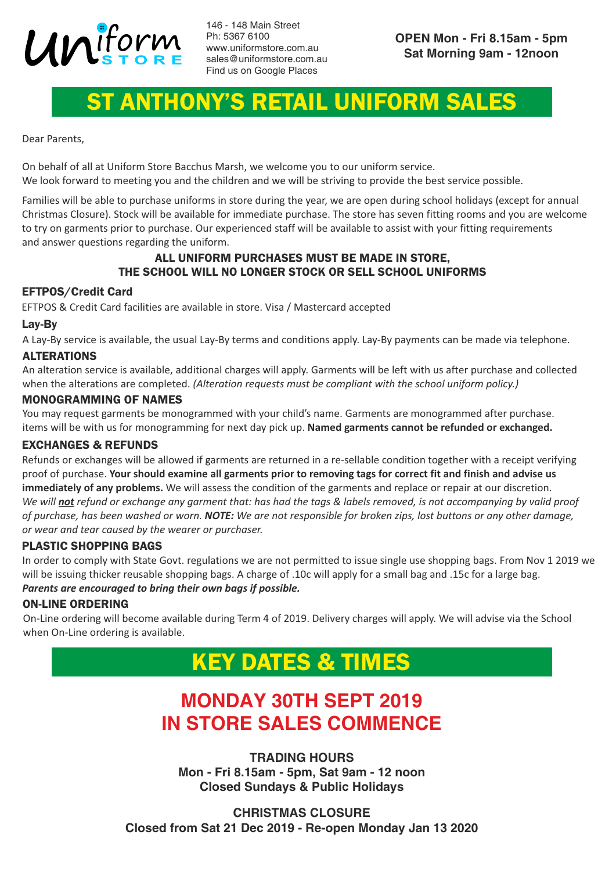

146 - 148 Main Street Ph: 5367 6100 www.uniformstore.com.au sales@uniformstore.com.au Find us on Google Places

## ST ANTHONY'S RETAIL UNIFORM SALES

Dear Parents,

On behalf of all at Uniform Store Bacchus Marsh, we welcome you to our uniform service. We look forward to meeting you and the children and we will be striving to provide the best service possible.

Families will be able to purchase uniforms in store during the year, we are open during school holidays (except for annual Christmas Closure). Stock will be available for immediate purchase. The store has seven fitting rooms and you are welcome to try on garments prior to purchase. Our experienced staff will be available to assist with your fitting requirements and answer questions regarding the uniform.

#### ALL UNIFORM PURCHASES MUST BE MADE IN STORE, THE SCHOOL WILL NO LONGER STOCK OR SELL SCHOOL UNIFORMS

#### EFTPOS/Credit Card

EFTPOS & Credit Card facilities are available in store. Visa / Mastercard accepted

#### Lay-By

A Lay-By service is available, the usual Lay-By terms and conditions apply. Lay-By payments can be made via telephone.

#### ALTERATIONS

An alteration service is available, additional charges will apply. Garments will be left with us after purchase and collected when the alterations are completed. *(Alteration requests must be compliant with the school uniform policy.)*

#### MONOGRAMMING OF NAMES

You may request garments be monogrammed with your child's name. Garments are monogrammed after purchase. items will be with us for monogramming for next day pick up. **Named garments cannot be refunded or exchanged.**

#### EXCHANGES & REFUNDS

Refunds or exchanges will be allowed if garments are returned in a re-sellable condition together with a receipt verifying proof of purchase. **Your should examine all garments prior to removing tags for correct fit and finish and advise us immediately of any problems.** We will assess the condition of the garments and replace or repair at our discretion. *We will not refund or exchange any garment that: has had the tags & labels removed, is not accompanying by valid proof of purchase, has been washed or worn. NOTE: We are not responsible for broken zips, lost buttons or any other damage, or wear and tear caused by the wearer or purchaser.*

#### PLASTIC SHOPPING BAGS

In order to comply with State Govt. regulations we are not permitted to issue single use shopping bags. From Nov 1 2019 we will be issuing thicker reusable shopping bags. A charge of .10c will apply for a small bag and .15c for a large bag. *Parents are encouraged to bring their own bags if possible.* 

#### ON-LINE ORDERING

On-Line ordering will become available during Term 4 of 2019. Delivery charges will apply. We will advise via the School when On-Line ordering is available.

## KEY DATES & TIMES

## **MONDAY 30TH SEPT 2019 IN STORE SALES COMMENCE**

**TRADING HOURS Mon - Fri 8.15am - 5pm, Sat 9am - 12 noon Closed Sundays & Public Holidays**

**CHRISTMAS CLOSURE Closed from Sat 21 Dec 2019 - Re-open Monday Jan 13 2020**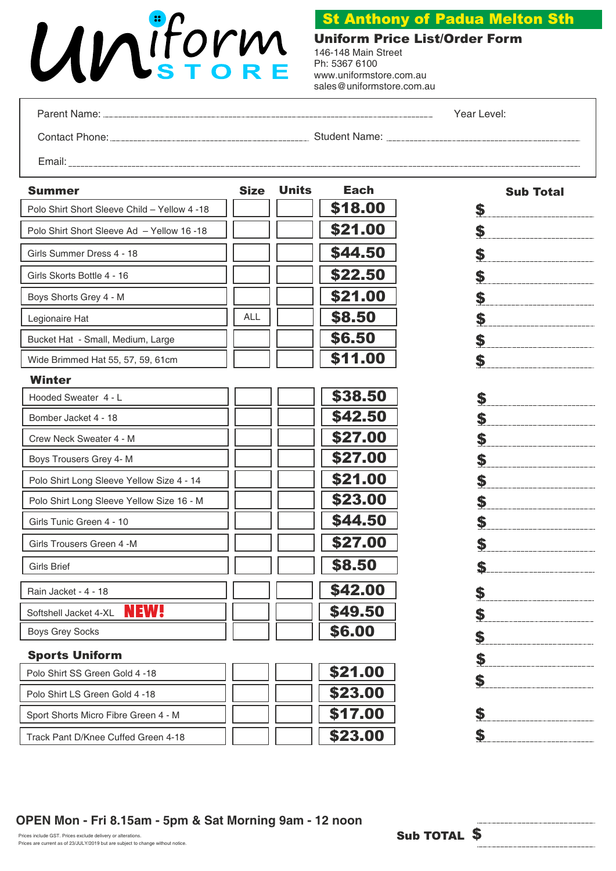# Uniform

### St Anthony of Padua Melton Sth

Uniform Price List/Order Form 146-148 Main Street

Ph: 5367 6100 www.uniformstore.com.au sales@uniformstore.com.au

Parent Name:

Year Level:

Contact Phone: Student Name: Student Name:

Email:

| Summer                                       | <b>Size</b> | <b>Units</b> | <b>Each</b> | <b>Sub Total</b> |
|----------------------------------------------|-------------|--------------|-------------|------------------|
| Polo Shirt Short Sleeve Child - Yellow 4 -18 |             |              | \$18.00     | \$               |
| Polo Shirt Short Sleeve Ad - Yellow 16 -18   |             |              | \$21.00     | \$               |
| Girls Summer Dress 4 - 18                    |             |              | \$44.50     | \$               |
| Girls Skorts Bottle 4 - 16                   |             |              | \$22.50     | \$               |
| Boys Shorts Grey 4 - M                       |             |              | \$21.00     | \$               |
| Legionaire Hat                               | ALL         |              | \$8.50      | \$               |
| Bucket Hat - Small, Medium, Large            |             |              | \$6.50      | \$               |
| Wide Brimmed Hat 55, 57, 59, 61cm            |             |              | \$11.00     | \$               |
| <b>Winter</b>                                |             |              |             |                  |
| Hooded Sweater 4 - L                         |             |              | \$38.50     | \$               |
| Bomber Jacket 4 - 18                         |             |              | \$42.50     | \$               |
| Crew Neck Sweater 4 - M                      |             |              | \$27.00     | \$               |
| Boys Trousers Grey 4- M                      |             |              | \$27.00     | \$               |
| Polo Shirt Long Sleeve Yellow Size 4 - 14    |             |              | \$21.00     | \$               |
| Polo Shirt Long Sleeve Yellow Size 16 - M    |             |              | \$23.00     | \$               |
| Girls Tunic Green 4 - 10                     |             |              | \$44.50     | \$               |
| Girls Trousers Green 4 -M                    |             |              | \$27.00     | \$               |
| <b>Girls Brief</b>                           |             |              | \$8.50      | \$               |
| Rain Jacket - 4 - 18                         |             |              | \$42.00     | \$               |
| <b>NEW!</b><br>Softshell Jacket 4-XL         |             |              | \$49.50     | \$               |
| <b>Boys Grey Socks</b>                       |             |              | \$6.00      | \$               |
| <b>Sports Uniform</b>                        |             |              |             | \$               |
| Polo Shirt SS Green Gold 4 -18               |             |              | \$21.00     | \$               |
| Polo Shirt LS Green Gold 4 -18               |             |              | \$23.00     |                  |
| Sport Shorts Micro Fibre Green 4 - M         |             |              | \$17.00     | \$               |
| Track Pant D/Knee Cuffed Green 4-18          |             |              | \$23.00     | \$               |